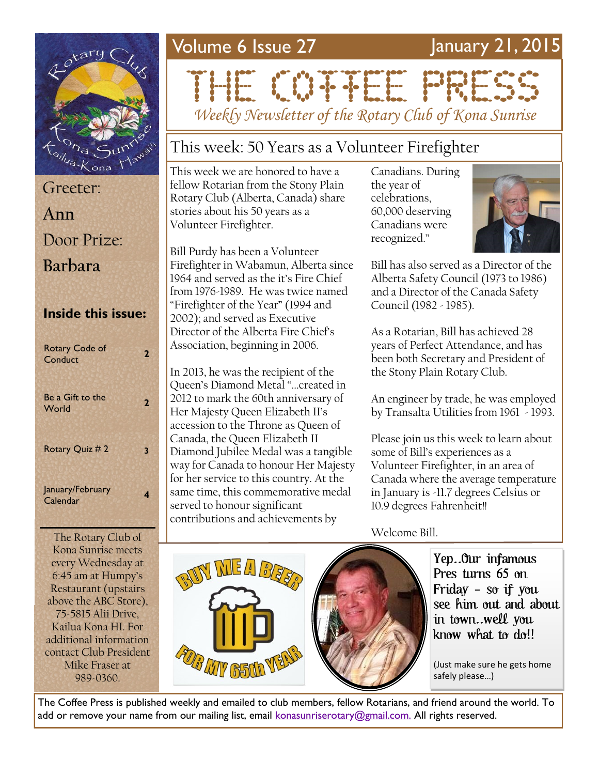# <sup>n</sup>/<sub>ua-Kona</sub>

| Greeter:                  |
|---------------------------|
| Ann                       |
| Door Prize:               |
| <b>Barbara</b>            |
|                           |
|                           |
| <b>Inside this issue:</b> |

Be a Gift to the **2**<br>World **2** Rotary Quiz # 2 **3** January/February Calendar **<sup>4</sup>**

The Rotary Club of Kona Sunrise meets every Wednesday at 6:45 am at Humpy's Restaurant (upstairs above the ABC Store), 75-5815 Alii Drive, Kailua Kona HI. For additional information contact Club President Mike Fraser at 989-0360.

## Volume 6 Issue 27 January 21, 2015

# THE COTTEN PRESS *Weekly Newsletter of the Rotary Club of Kona Sunrise*

#### This week: 50 Years as a Volunteer Firefighter

This week we are honored to have a fellow Rotarian from the Stony Plain Rotary Club (Alberta, Canada) share stories about his 50 years as a Volunteer Firefighter.

Bill Purdy has been a Volunteer Firefighter in Wabamun, Alberta since 1964 and served as the it's Fire Chief from 1976-1989. He was twice named "Firefighter of the Year" (1994 and 2002); and served as Executive Director of the Alberta Fire Chief's Association, beginning in 2006.

In 2013, he was the recipient of the Queen's Diamond Metal "...created in 2012 to mark the 60th anniversary of Her Majesty Queen Elizabeth II's accession to the Throne as Queen of Canada, the Queen Elizabeth II Diamond Jubilee Medal was a tangible way for Canada to honour Her Majesty for her service to this country. At the same time, this commemorative medal served to honour significant contributions and achievements by

Canadians. During the year of celebrations, 60,000 deserving Canadians were recognized."



Bill has also served as a Director of the Alberta Safety Council (1973 to 1986) and a Director of the Canada Safety Council (1982 - 1985).

As a Rotarian, Bill has achieved 28 years of Perfect Attendance, and has been both Secretary and President of the Stony Plain Rotary Club.

An engineer by trade, he was employed by Transalta Utilities from 1961 - 1993.

Please join us this week to learn about some of Bill's experiences as a Volunteer Firefighter, in an area of Canada where the average temperature in January is -11.7 degrees Celsius or 10.9 degrees Fahrenheit!!

Welcome Bill.

Yep..Our infamous Pres turns 65 on Friday - so if you see him out and about in town..well you know what to do!!

(Just make sure he gets home



The Coffee Press is published weekly and emailed to club members, fellow Rotarians, and friend around the world. To add or remove your name from our mailing list, email [konasunriserotary@gmail.com.](mailto:konasunriserotary@gmail.com.) All rights reserved.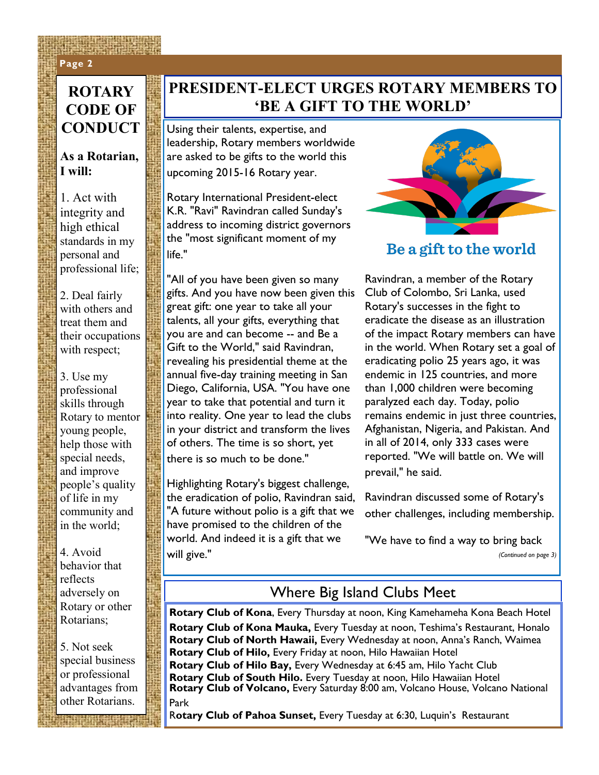#### **Page 2 Page 2**

#### **ROTARY CODE OF CONDUCT**

#### **As a Rotarian, I will:**

1. Act with integrity and high ethical standards in my personal and professional life;

2. Deal fairly with others and treat them and their occupations with respect;

3. Use my professional skills through Rotary to mentor young people, help those with special needs, and improve people's quality of life in my community and in the world;

4. Avoid behavior that reflects adversely on Rotary or other Rotarians;

5. Not seek special business or professional advantages from other Rotarians.

#### **PRESIDENT-ELECT URGES ROTARY MEMBERS TO 'BE A GIFT TO THE WORLD'**

Using their talents, expertise, and leadership, Rotary members worldwide are asked to be gifts to the world this upcoming 2015-16 Rotary year.

Rotary International President-elect K.R. "Ravi" Ravindran called Sunday's address to incoming district governors the "most significant moment of my life."

"All of you have been given so many gifts. And you have now been given this great gift: one year to take all your talents, all your gifts, everything that you are and can become -- and Be a Gift to the World," said Ravindran, revealing his presidential theme at the annual five-day training meeting in San Diego, California, USA. "You have one year to take that potential and turn it into reality. One year to lead the clubs in your district and transform the lives of others. The time is so short, yet there is so much to be done."

Highlighting Rotary's biggest challenge, the eradication of polio, Ravindran said, "A future without polio is a gift that we have promised to the children of the world. And indeed it is a gift that we will give."



#### Be a gift to the world

Ravindran, a member of the Rotary Club of Colombo, Sri Lanka, used Rotary's successes in the fight to eradicate the disease as an illustration of the impact Rotary members can have in the world. When Rotary set a goal of eradicating polio 25 years ago, it was endemic in 125 countries, and more than 1,000 children were becoming paralyzed each day. Today, polio remains endemic in just three countries, Afghanistan, Nigeria, and Pakistan. And in all of 2014, only 333 cases were reported. "We will battle on. We will prevail," he said.

Ravindran discussed some of Rotary's other challenges, including membership.

"We have to find a way to bring back *(Continued on page 3)*

#### Where Big Island Clubs Meet

**Rotary Club of Kona**, Every Thursday at noon, King Kamehameha Kona Beach Hotel **Rotary Club of Kona Mauka,** Every Tuesday at noon, Teshima's Restaurant, Honalo **Rotary Club of North Hawaii,** Every Wednesday at noon, Anna's Ranch, Waimea **Rotary Club of Hilo,** Every Friday at noon, Hilo Hawaiian Hotel **Rotary Club of Hilo Bay,** Every Wednesday at 6:45 am, Hilo Yacht Club **Rotary Club of South Hilo.** Every Tuesday at noon, Hilo Hawaiian Hotel **Rotary Club of Volcano,** Every Saturday 8:00 am, Volcano House, Volcano National Park

R**otary Club of Pahoa Sunset,** Every Tuesday at 6:30, Luquin's Restaurant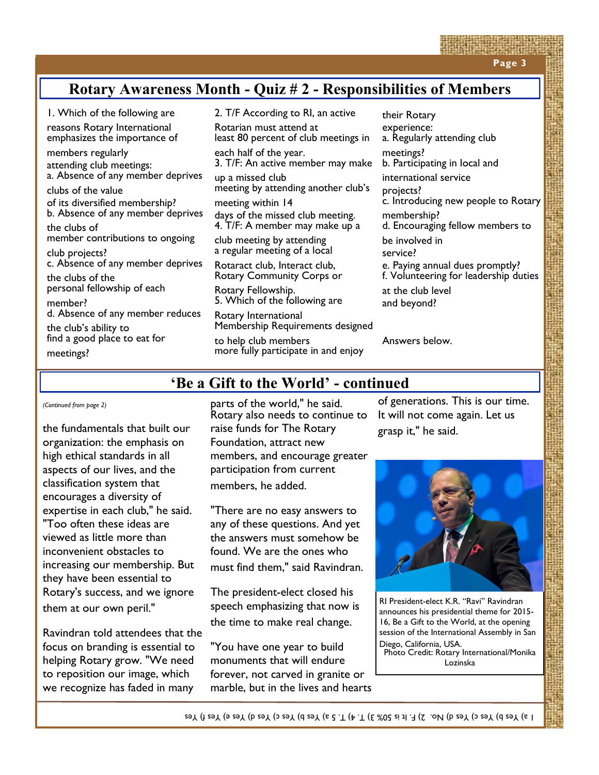**Page 3**

#### **Rotary Awareness Month - Quiz # 2 - Responsibilities of Members**

1. Which of the following are

reasons Rotary International emphasizes the importance of

members regularly attending club meetings: a. Absence of any member deprives

clubs of the value of its diversified membership? b. Absence of any member deprives

the clubs of member contributions to ongoing

club projects? c. Absence of any member deprives

the clubs of the personal fellowship of each member?

d. Absence of any member reduces

the club's ability to find a good place to eat for meetings?

2. T/F According to RI, an active

Rotarian must attend at least 80 percent of club meetings in

each half of the year. 3. T/F: An active member may make

up a missed club meeting by attending another club's

meeting within 14 days of the missed club meeting. 4. T/F: A member may make up a

club meeting by attending a regular meeting of a local

Rotaract club, Interact club, Rotary Community Corps or

Rotary Fellowship. 5. Which of the following are

Rotary International Membership Requirements designed

to help club members more fully participate in and enjoy

their Rotary experience: a. Regularly attending club meetings? b. Participating in local and international service projects? c. Introducing new people to Rotary membership? d. Encouraging fellow members to be involved in service? e. Paying annual dues promptly? f. Volunteering for leadership duties at the club level and beyond?

Answers below.

#### **'Be a Gift to the World' - continued**

*(Continued from page 2)*

the fundamentals that built our organization: the emphasis on high ethical standards in all aspects of our lives, and the classification system that encourages a diversity of expertise in each club," he said. "Too often these ideas are viewed as little more than inconvenient obstacles to increasing our membership. But they have been essential to Rotary's success, and we ignore them at our own peril."

Ravindran told attendees that the focus on branding is essential to helping Rotary grow. "We need to reposition our image, which we recognize has faded in many

parts of the world," he said. Rotary also needs to continue to raise funds for The Rotary Foundation, attract new members, and encourage greater participation from current members, he added.

"There are no easy answers to any of these questions. And yet the answers must somehow be found. We are the ones who must find them," said Ravindran.

The president-elect closed his speech emphasizing that now is the time to make real change.

"You have one year to build monuments that will endure forever, not carved in granite or marble, but in the lives and hearts

of generations. This is our time. It will not come again. Let us grasp it," he said.



RI President-elect K.R. "Ravi" Ravindran announces his presidential theme for 2015- 16, Be a Gift to the World, at the opening session of the International Assembly in San Diego, California, USA.

Photo Credit: Rotary International/Monika Lozinska

1 a) Yes b) Yes c) Yes d) No. 2) F. It is 50% 3) T. 4) T. 5 a) Yes b) Yes c) Yes d) Yes e) Yes f) Yes